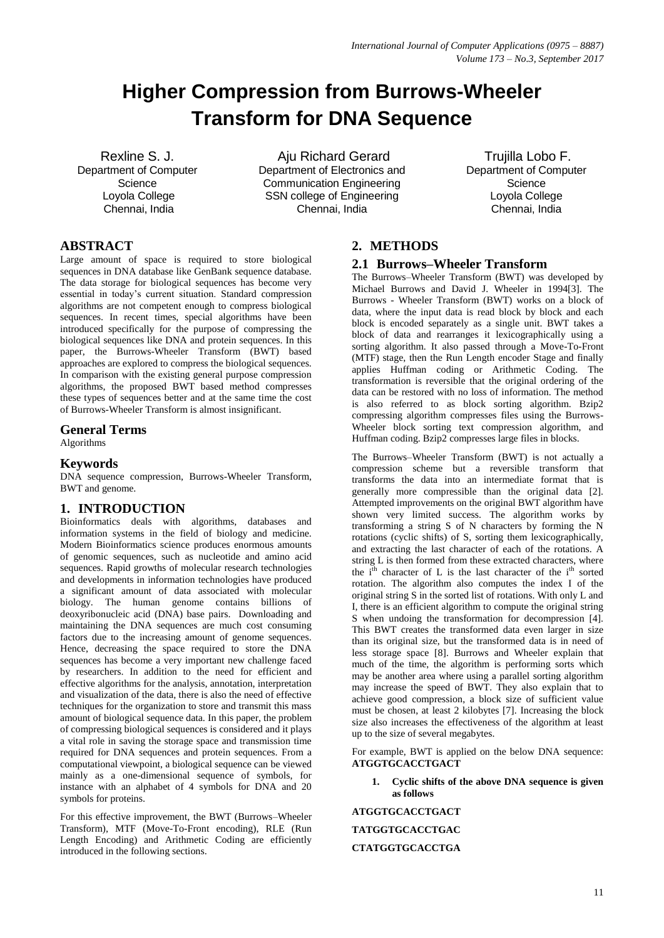# **Higher Compression from Burrows-Wheeler Transform for DNA Sequence**

Rexline S. J. Department of Computer **Science** Loyola College Chennai, India

Aju Richard Gerard Department of Electronics and Communication Engineering SSN college of Engineering Chennai, India

Trujilla Lobo F. Department of Computer **Science** Loyola College Chennai, India

# **ABSTRACT**

Large amount of space is required to store biological sequences in DNA database like GenBank sequence database. The data storage for biological sequences has become very essential in today's current situation. Standard compression algorithms are not competent enough to compress biological sequences. In recent times, special algorithms have been introduced specifically for the purpose of compressing the biological sequences like DNA and protein sequences. In this paper, the Burrows-Wheeler Transform (BWT) based approaches are explored to compress the biological sequences. In comparison with the existing general purpose compression algorithms, the proposed BWT based method compresses these types of sequences better and at the same time the cost of Burrows-Wheeler Transform is almost insignificant.

## **General Terms**

Algorithms

# **Keywords**

DNA sequence compression, Burrows-Wheeler Transform, BWT and genome.

## **1. INTRODUCTION**

Bioinformatics deals with algorithms, databases and information systems in the field of biology and medicine. Modern Bioinformatics science produces enormous amounts of genomic sequences, such as nucleotide and amino acid sequences. Rapid growths of molecular research technologies and developments in information technologies have produced a significant amount of data associated with molecular biology. The human genome contains billions of deoxyribonucleic acid (DNA) base pairs. Downloading and maintaining the DNA sequences are much cost consuming factors due to the increasing amount of genome sequences. Hence, decreasing the space required to store the DNA sequences has become a very important new challenge faced by researchers. In addition to the need for efficient and effective algorithms for the analysis, annotation, interpretation and visualization of the data, there is also the need of effective techniques for the organization to store and transmit this mass amount of biological sequence data. In this paper, the problem of compressing biological sequences is considered and it plays a vital role in saving the storage space and transmission time required for DNA sequences and protein sequences. From a computational viewpoint, a biological sequence can be viewed mainly as a one-dimensional sequence of symbols, for instance with an alphabet of 4 symbols for DNA and 20 symbols for proteins.

For this effective improvement, the BWT (Burrows–Wheeler Transform), MTF (Move-To-Front encoding), RLE (Run Length Encoding) and Arithmetic Coding are efficiently introduced in the following sections.

## **2. METHODS**

## **2.1 Burrows–Wheeler Transform**

The Burrows–Wheeler Transform (BWT) was developed by Michael Burrows and David J. Wheeler in 1994[3]. The Burrows - Wheeler Transform (BWT) works on a block of data, where the input data is read block by block and each block is encoded separately as a single unit. BWT takes a block of data and rearranges it lexicographically using a sorting algorithm. It also passed through a Move-To-Front (MTF) stage, then the Run Length encoder Stage and finally applies Huffman coding or Arithmetic Coding. The transformation is reversible that the original ordering of the data can be restored with no loss of information. The method is also referred to as block sorting algorithm. Bzip2 compressing algorithm compresses files using the Burrows-Wheeler block sorting text compression algorithm, and Huffman coding. Bzip2 compresses large files in blocks.

The Burrows–Wheeler Transform (BWT) is not actually a compression scheme but a reversible transform that transforms the data into an intermediate format that is generally more compressible than the original data [2]. Attempted improvements on the original BWT algorithm have shown very limited success. The algorithm works by transforming a string S of N characters by forming the N rotations (cyclic shifts) of S, sorting them lexicographically, and extracting the last character of each of the rotations. A string L is then formed from these extracted characters, where the  $i<sup>th</sup>$  character of L is the last character of the  $i<sup>th</sup>$  sorted rotation. The algorithm also computes the index I of the original string S in the sorted list of rotations. With only L and I, there is an efficient algorithm to compute the original string S when undoing the transformation for decompression [4]. This BWT creates the transformed data even larger in size than its original size, but the transformed data is in need of less storage space [8]. Burrows and Wheeler explain that much of the time, the algorithm is performing sorts which may be another area where using a parallel sorting algorithm may increase the speed of BWT. They also explain that to achieve good compression, a block size of sufficient value must be chosen, at least 2 kilobytes [7]. Increasing the block size also increases the effectiveness of the algorithm at least up to the size of several megabytes.

For example, BWT is applied on the below DNA sequence: **ATGGTGCACCTGACT**

**1. Cyclic shifts of the above DNA sequence is given as follows**

**ATGGTGCACCTGACT TATGGTGCACCTGAC CTATGGTGCACCTGA**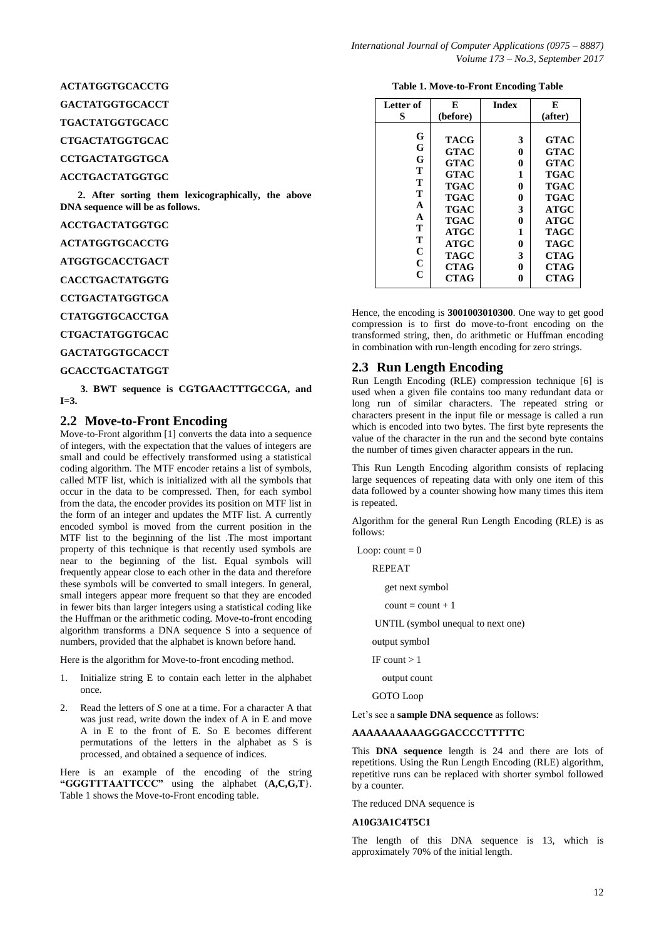## **ACTATGGTGCACCTG**

**GACTATGGTGCACCT**

**TGACTATGGTGCACC**

**CTGACTATGGTGCAC**

**CCTGACTATGGTGCA**

## **ACCTGACTATGGTGC**

 **2. After sorting them lexicographically, the above DNA sequence will be as follows.**

**ACCTGACTATGGTGC**

**ACTATGGTGCACCTG**

**ATGGTGCACCTGACT**

**CACCTGACTATGGTG**

**CCTGACTATGGTGCA**

**CTATGGTGCACCTGA**

**CTGACTATGGTGCAC**

**GACTATGGTGCACCT**

#### **GCACCTGACTATGGT**

 **3. BWT sequence is CGTGAACTTTGCCGA, and I=3.**

## **2.2 Move-to-Front Encoding**

Move-to-Front algorithm [1] converts the data into a sequence of integers, with the expectation that the values of integers are small and could be effectively transformed using a statistical coding algorithm. The MTF encoder retains a list of symbols, called MTF list, which is initialized with all the symbols that occur in the data to be compressed. Then, for each symbol from the data, the encoder provides its position on MTF list in the form of an integer and updates the MTF list. A currently encoded symbol is moved from the current position in the MTF list to the beginning of the list .The most important property of this technique is that recently used symbols are near to the beginning of the list. Equal symbols will frequently appear close to each other in the data and therefore these symbols will be converted to small integers. In general, small integers appear more frequent so that they are encoded in fewer bits than larger integers using a statistical coding like the Huffman or the arithmetic coding. Move-to-front encoding algorithm transforms a DNA sequence S into a sequence of numbers, provided that the alphabet is known before hand.

Here is the algorithm for Move-to-front encoding method.

- 1. Initialize string E to contain each letter in the alphabet once.
- 2. Read the letters of *S* one at a time. For a character A that was just read, write down the index of A in E and move A in E to the front of E. So E becomes different permutations of the letters in the alphabet as S is processed, and obtained a sequence of indices.

Here is an example of the encoding of the string **"GGGTTTAATTCCC"** using the alphabet (**A,C,G,T**}. Table 1 shows the Move-to-Front encoding table.

#### **Table 1. Move-to-Front Encoding Table**

| Letter of                                                                    | E                                                                                                                                     | <b>Index</b>                                             | E                                                                                                                                                   |
|------------------------------------------------------------------------------|---------------------------------------------------------------------------------------------------------------------------------------|----------------------------------------------------------|-----------------------------------------------------------------------------------------------------------------------------------------------------|
| S                                                                            | (before)                                                                                                                              |                                                          | (after)                                                                                                                                             |
| G<br>G<br>G<br>Т<br>Т<br>T<br>A<br>A<br>Т<br>T<br>$\mathbf C$<br>$\mathbf C$ | <b>TACG</b><br>GTAC<br><b>GTAC</b><br>GTAC<br>TGAC<br><b>TGAC</b><br><b>TGAC</b><br><b>TGAC</b><br>ATGC<br><b>ATGC</b><br><b>TAGC</b> | 3<br>0<br>0<br>1<br>0<br>0<br>3<br>0<br>1<br>0<br>3<br>0 | <b>GTAC</b><br><b>GTAC</b><br><b>GTAC</b><br><b>TGAC</b><br><b>TGAC</b><br><b>TGAC</b><br><b>ATGC</b><br><b>ATGC</b><br>TAGC<br>TAGC<br><b>CTAG</b> |
| C                                                                            | <b>CTAG</b><br><b>CTAG</b>                                                                                                            | 0                                                        | <b>CTAG</b><br><b>CTAG</b>                                                                                                                          |

Hence, the encoding is **3001003010300**. One way to get good compression is to first do move-to-front encoding on the transformed string, then, do arithmetic or Huffman encoding in combination with run-length encoding for zero strings.

#### **2.3 Run Length Encoding**

Run Length Encoding (RLE) compression technique [6] is used when a given file contains too many redundant data or long run of similar characters. The repeated string or characters present in the input file or message is called a run which is encoded into two bytes. The first byte represents the value of the character in the run and the second byte contains the number of times given character appears in the run.

This Run Length Encoding algorithm consists of replacing large sequences of repeating data with only one item of this data followed by a counter showing how many times this item is repeated.

Algorithm for the general Run Length Encoding (RLE) is as follows:

Loop:  $count = 0$ 

REPEAT

get next symbol

 $count = count + 1$ 

UNTIL (symbol unequal to next one)

output symbol

IF count  $> 1$ 

output count

GOTO Loop

Let's see a **sample DNA sequence** as follows:

#### **AAAAAAAAAAGGGACCCCTTTTTC**

This **DNA sequence** length is 24 and there are lots of repetitions. Using the Run Length Encoding (RLE) algorithm, repetitive runs can be replaced with shorter symbol followed by a counter.

The reduced DNA sequence is

#### **A10G3A1C4T5C1**

The length of this DNA sequence is 13, which is approximately 70% of the initial length.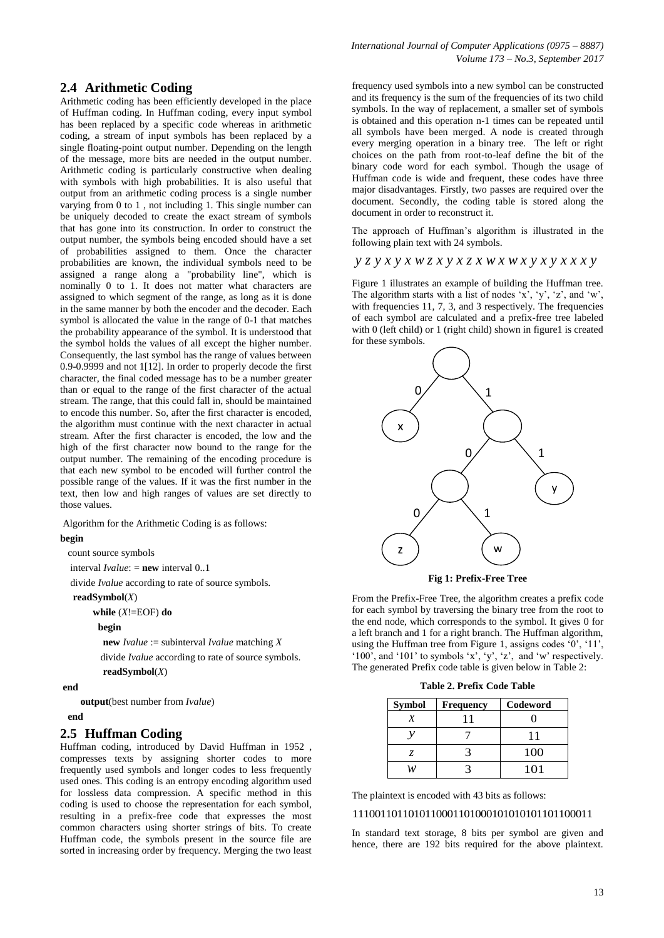## **2.4 Arithmetic Coding**

Arithmetic coding has been efficiently developed in the place of Huffman coding. In Huffman coding, every input symbol has been replaced by a specific code whereas in arithmetic coding, a stream of input symbols has been replaced by a single floating-point output number. Depending on the length of the message, more bits are needed in the output number. Arithmetic coding is particularly constructive when dealing with symbols with high probabilities. It is also useful that output from an arithmetic coding process is a single number varying from 0 to 1 , not including 1. This single number can be uniquely decoded to create the exact stream of symbols that has gone into its construction. In order to construct the output number, the symbols being encoded should have a set of probabilities assigned to them. Once the character probabilities are known, the individual symbols need to be assigned a range along a "probability line", which is nominally 0 to 1. It does not matter what characters are assigned to which segment of the range, as long as it is done in the same manner by both the encoder and the decoder. Each symbol is allocated the value in the range of 0-1 that matches the probability appearance of the symbol. It is understood that the symbol holds the values of all except the higher number. Consequently, the last symbol has the range of values between 0.9-0.9999 and not 1[12]. In order to properly decode the first character, the final coded message has to be a number greater than or equal to the range of the first character of the actual stream. The range, that this could fall in, should be maintained to encode this number. So, after the first character is encoded, the algorithm must continue with the next character in actual stream. After the first character is encoded, the low and the high of the first character now bound to the range for the output number. The remaining of the encoding procedure is that each new symbol to be encoded will further control the possible range of the values. If it was the first number in the text, then low and high ranges of values are set directly to those values.

Algorithm for the Arithmetic Coding is as follows:

#### **begin**

count source symbols

interval *Ivalue*: = **new** interval 0..1

divide *Ivalue* according to rate of source symbols.

#### **readSymbol**(*X*)

**while** (*X*!=EOF) **do**

#### **begin**

 **new** *Ivalue* := subinterval *Ivalue* matching *X* divide *Ivalue* according to rate of source symbols.

**readSymbol**(*X*)

## **end**

**output**(best number from *Ivalue*)

## **end**

## **2.5 Huffman Coding**

Huffman coding, introduced by David Huffman in 1952 , compresses texts by assigning shorter codes to more frequently used symbols and longer codes to less frequently used ones. This coding is an entropy encoding algorithm used for lossless data compression. A specific method in this coding is used to choose the representation for each symbol, resulting in a prefix-free code that expresses the most common characters using shorter strings of bits. To create Huffman code, the symbols present in the source file are sorted in increasing order by frequency. Merging the two least

frequency used symbols into a new symbol can be constructed and its frequency is the sum of the frequencies of its two child symbols. In the way of replacement, a smaller set of symbols is obtained and this operation n-1 times can be repeated until all symbols have been merged. A node is created through every merging operation in a binary tree. The left or right choices on the path from root-to-leaf define the bit of the binary code word for each symbol. Though the usage of Huffman code is wide and frequent, these codes have three major disadvantages. Firstly, two passes are required over the document. Secondly, the coding table is stored along the document in order to reconstruct it.

The approach of Huffman's algorithm is illustrated in the following plain text with 24 symbols.

## *y z y x y x w z x y x z x w x w x y x y x x x y*

Figure 1 illustrates an example of building the Huffman tree. The algorithm starts with a list of nodes 'x', 'y', 'z', and 'w', with frequencies 11, 7, 3, and 3 respectively. The frequencies of each symbol are calculated and a prefix-free tree labeled with 0 (left child) or 1 (right child) shown in figure1 is created for these symbols.



**Fig 1: Prefix-Free Tree**

From the Prefix-Free Tree, the algorithm creates a prefix code for each symbol by traversing the binary tree from the root to the end node, which corresponds to the symbol. It gives 0 for a left branch and 1 for a right branch. The Huffman algorithm, using the Huffman tree from Figure 1, assigns codes '0', '11', '100', and '101' to symbols 'x', 'y', 'z', and 'w' respectively. The generated Prefix code table is given below in Table 2:

| Table 2. Prefix Code Table |  |  |  |  |
|----------------------------|--|--|--|--|
|----------------------------|--|--|--|--|

| <b>Symbol</b> | Frequency | Codeword |
|---------------|-----------|----------|
|               |           |          |
|               |           |          |
|               |           | 100      |
|               |           | 101      |

The plaintext is encoded with 43 bits as follows:

### 1110011011010110001101000101010101101100011

In standard text storage, 8 bits per symbol are given and hence, there are 192 bits required for the above plaintext.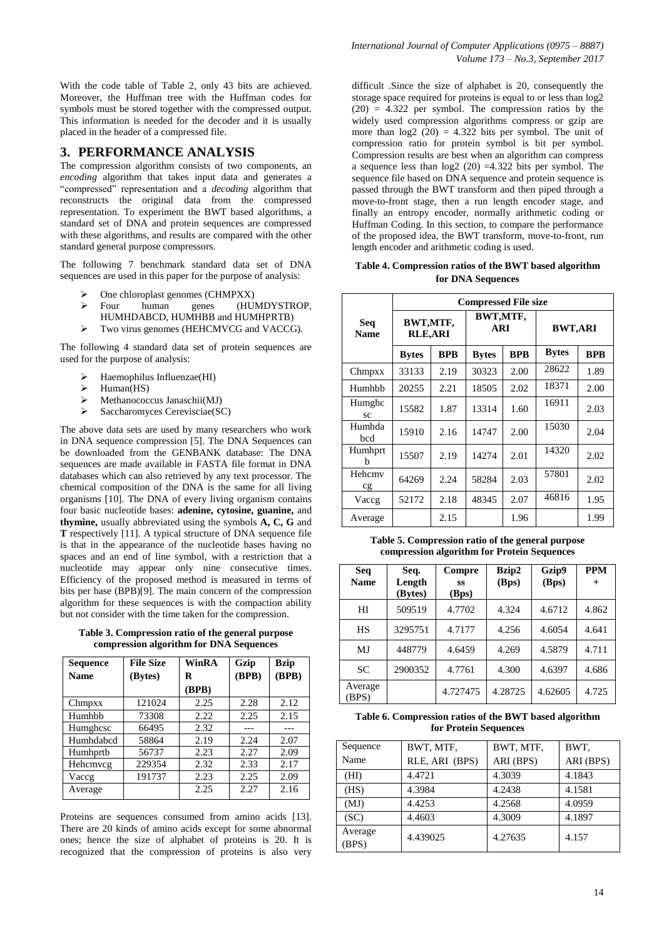With the code table of Table 2, only 43 bits are achieved. Moreover, the Huffman tree with the Huffman codes for symbols must be stored together with the compressed output. This information is needed for the decoder and it is usually placed in the header of a compressed file.

## **3. PERFORMANCE ANALYSIS**

The compression algorithm consists of two components, an *encoding* algorithm that takes input data and generates a "compressed" representation and a *decoding* algorithm that reconstructs the original data from the compressed representation. To experiment the BWT based algorithms, a standard set of DNA and protein sequences are compressed with these algorithms, and results are compared with the other standard general purpose compressors.

The following 7 benchmark standard data set of DNA sequences are used in this paper for the purpose of analysis:

- One chloroplast genomes (CHMPXX)
- Four human genes (HUMDYSTROP, HUMHDABCD, HUMHBB and HUMHPRTB)
- $\triangleright$  Two virus genomes (HEHCMVCG and VACCG).

The following 4 standard data set of protein sequences are used for the purpose of analysis:

- Haemophilus Influenzae(HI)
- Human(HS)
- $\triangleright$  Methanococcus Janaschii(MJ)
- $\triangleright$  Saccharomyces Cerevisciae(SC)

The above data sets are used by many researchers who work in DNA sequence compression [5]. The DNA Sequences can be downloaded from the GENBANK database: The DNA sequences are made available in FASTA file format in DNA databases which can also retrieved by any text processor. The chemical composition of the DNA is the same for all living organisms [10]. The DNA of every living organism contains four basic nucleotide bases: **adenine, cytosine, guanine,** and **thymine,** usually abbreviated using the symbols **A, C, G** and **T** respectively [11]. A typical structure of DNA sequence file is that in the appearance of the nucleotide bases having no spaces and an end of line symbol, with a restriction that a nucleotide may appear only nine consecutive times. Efficiency of the proposed method is measured in terms of bits per base (BPB)[9]. The main concern of the compression algorithm for these sequences is with the compaction ability but not consider with the time taken for the compression.

**Table 3. Compression ratio of the general purpose compression algorithm for DNA Sequences**

| Sequence    | <b>File Size</b> | WinRA | Gzip  | <b>Bzip</b> |
|-------------|------------------|-------|-------|-------------|
| <b>Name</b> | (Bytes)          | R     | (BPB) | (BPB)       |
|             |                  | (BPB) |       |             |
| Chmpxx      | 121024           | 2.25  | 2.28  | 2.12        |
| Humhbb      | 73308            | 2.22  | 2.25  | 2.15        |
| Humghese    | 66495            | 2.32  |       |             |
| Humhdabcd   | 58864            | 2.19  | 2.24  | 2.07        |
| Humhprtb    | 56737            | 2.23  | 2.27  | 2.09        |
| Hehcmycg    | 229354           | 2.32  | 2.33  | 2.17        |
| Vaccg       | 191737           | 2.23  | 2.25  | 2.09        |
| Average     |                  | 2.25  | 2.27  | 2.16        |

Proteins are sequences consumed from amino acids [13]. There are 20 kinds of amino acids except for some abnormal ones; hence the size of alphabet of proteins is 20. It is recognized that the compression of proteins is also very

difficult .Since the size of alphabet is 20, consequently the storage space required for proteins is equal to or less than log2 (20) = 4*.*322 per symbol. The compression ratios by the widely used compression algorithms compress or gzip are more than  $log2(20) = 4.322$  bits per symbol. The unit of compression ratio for protein symbol is bit per symbol. Compression results are best when an algorithm can compress a sequence less than log2 (20) =4*.*322 bits per symbol. The sequence file based on DNA sequence and protein sequence is passed through the BWT transform and then piped through a move-to-front stage, then a run length encoder stage, and finally an entropy encoder, normally arithmetic coding or Huffman Coding. In this section, to compare the performance of the proposed idea, the BWT transform, move-to-front, run length encoder and arithmetic coding is used.

**Table 4. Compression ratios of the BWT based algorithm for DNA Sequences**

|                    | <b>Compressed File size</b> |            |                 |            |                |            |
|--------------------|-----------------------------|------------|-----------------|------------|----------------|------------|
| Seq<br><b>Name</b> | BWT,MTF,<br><b>RLE,ARI</b>  |            | BWT,MTF,<br>ARI |            | <b>BWT,ARI</b> |            |
|                    | <b>Bytes</b>                | <b>BPB</b> | <b>Bytes</b>    | <b>BPB</b> | <b>Bytes</b>   | <b>BPB</b> |
| Chmpxx             | 33133                       | 2.19       | 30323           | 2.00       | 28622          | 1.89       |
| Humhbb             | 20255                       | 2.21       | 18505           | 2.02       | 18371          | 2.00       |
| Humghc<br>SC       | 15582                       | 1.87       | 13314           | 1.60       | 16911          | 2.03       |
| Humhda<br>bed      | 15910                       | 2.16       | 14747           | 2.00       | 15030          | 2.04       |
| Humhprt<br>h       | 15507                       | 2.19       | 14274           | 2.01       | 14320          | 2.02       |
| Hehcmy<br>cg       | 64269                       | 2.24       | 58284           | 2.03       | 57801          | 2.02       |
| Vaccg              | 52172                       | 2.18       | 48345           | 2.07       | 46816          | 1.95       |
| Average            |                             | 2.15       |                 | 1.96       |                | 1.99       |

**Table 5. Compression ratio of the general purpose compression algorithm for Protein Sequences**

| <b>Seq</b><br><b>Name</b> | Seq.<br>Length<br>(Bytes) | Compre<br>SS<br>(Bps) | Bzip2<br>(Bps) | Gzip9<br>(Bps) | <b>PPM</b><br>$^{+}$ |
|---------------------------|---------------------------|-----------------------|----------------|----------------|----------------------|
| HI                        | 509519                    | 4.7702                | 4.324          | 4.6712         | 4.862                |
| HS                        | 3295751                   | 4.7177                | 4.256          | 4.6054         | 4.641                |
| MJ                        | 448779                    | 4.6459                | 4.269          | 4.5879         | 4.711                |
| <b>SC</b>                 | 2900352                   | 4.7761                | 4.300          | 4.6397         | 4.686                |
| Average<br>(BPS)          |                           | 4.727475              | 4.28725        | 4.62605        | 4.725                |

#### **Table 6. Compression ratios of the BWT based algorithm for Protein Sequences**

| Sequence         | BWT, MTF,      | BWT, MTF, | BWT.      |
|------------------|----------------|-----------|-----------|
| Name             | RLE, ARI (BPS) | ARI (BPS) | ARI (BPS) |
| (HI)             | 4.4721         | 4.3039    | 4.1843    |
| (HS)             | 4.3984         | 4.2438    | 4.1581    |
| (MJ)             | 4.4253         | 4.2568    | 4.0959    |
| (SC)             | 4.4603         | 4.3009    | 4.1897    |
| Average<br>(BPS) | 4.439025       | 4.27635   | 4.157     |